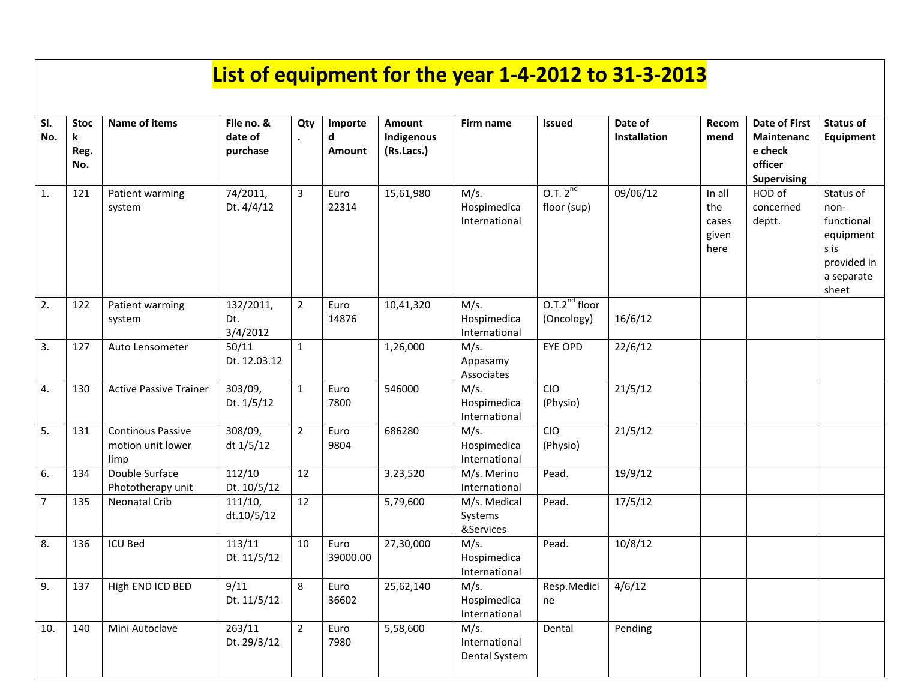## **List of equipment for the year 1-4-2012 to 31-3-2013**

| SI.<br>No.     | <b>Stoc</b><br>k<br>Reg.<br>No. | <b>Name of items</b>                                  | File no. &<br>date of<br>purchase | Qty            | Importe<br>d<br>Amount | Amount<br>Indigenous<br>(Rs.Lacs.) | Firm name                              | <b>Issued</b>                      | Date of<br>Installation | Recom<br>mend                           | <b>Date of First</b><br><b>Maintenanc</b><br>e check<br>officer<br><b>Supervising</b> | <b>Status of</b><br><b>Equipment</b>                                                       |
|----------------|---------------------------------|-------------------------------------------------------|-----------------------------------|----------------|------------------------|------------------------------------|----------------------------------------|------------------------------------|-------------------------|-----------------------------------------|---------------------------------------------------------------------------------------|--------------------------------------------------------------------------------------------|
| 1.             | 121                             | Patient warming<br>system                             | 74/2011,<br>Dt. 4/4/12            | 3              | Euro<br>22314          | 15,61,980                          | M/s.<br>Hospimedica<br>International   | 0.7.2 <sup>nd</sup><br>floor (sup) | 09/06/12                | In all<br>the<br>cases<br>given<br>here | HOD of<br>concerned<br>deptt.                                                         | Status of<br>non-<br>functional<br>equipment<br>s is<br>provided in<br>a separate<br>sheet |
| 2.             | 122                             | Patient warming<br>system                             | 132/2011,<br>Dt.<br>3/4/2012      | $\overline{2}$ | Euro<br>14876          | 10,41,320                          | M/s.<br>Hospimedica<br>International   | $0.7.2nd$ floor<br>(Oncology)      | 16/6/12                 |                                         |                                                                                       |                                                                                            |
| 3.             | 127                             | Auto Lensometer                                       | 50/11<br>Dt. 12.03.12             | $\mathbf{1}$   |                        | 1,26,000                           | M/s.<br>Appasamy<br>Associates         | EYE OPD                            | 22/6/12                 |                                         |                                                                                       |                                                                                            |
| 4.             | 130                             | <b>Active Passive Trainer</b>                         | 303/09,<br>Dt. 1/5/12             | $\mathbf{1}$   | Euro<br>7800           | 546000                             | M/s.<br>Hospimedica<br>International   | CIO<br>(Physio)                    | 21/5/12                 |                                         |                                                                                       |                                                                                            |
| 5.             | 131                             | <b>Continous Passive</b><br>motion unit lower<br>limp | 308/09,<br>dt 1/5/12              | $\overline{2}$ | Euro<br>9804           | 686280                             | M/s.<br>Hospimedica<br>International   | CIO<br>(Physio)                    | 21/5/12                 |                                         |                                                                                       |                                                                                            |
| 6.             | 134                             | Double Surface<br>Phototherapy unit                   | 112/10<br>Dt. 10/5/12             | 12             |                        | 3.23,520                           | M/s. Merino<br>International           | Pead.                              | 19/9/12                 |                                         |                                                                                       |                                                                                            |
| $\overline{7}$ | 135                             | <b>Neonatal Crib</b>                                  | 111/10,<br>dt.10/5/12             | 12             |                        | 5,79,600                           | M/s. Medical<br>Systems<br>&Services   | Pead.                              | 17/5/12                 |                                         |                                                                                       |                                                                                            |
| 8.             | 136                             | <b>ICU Bed</b>                                        | 113/11<br>Dt. 11/5/12             | 10             | Euro<br>39000.00       | 27,30,000                          | M/s.<br>Hospimedica<br>International   | Pead.                              | 10/8/12                 |                                         |                                                                                       |                                                                                            |
| 9.             | 137                             | High END ICD BED                                      | 9/11<br>Dt. 11/5/12               | 8              | Euro<br>36602          | 25,62,140                          | M/s.<br>Hospimedica<br>International   | Resp.Medici<br>ne                  | 4/6/12                  |                                         |                                                                                       |                                                                                            |
| 10.            | 140                             | Mini Autoclave                                        | 263/11<br>Dt. 29/3/12             | $\overline{2}$ | Euro<br>7980           | 5,58,600                           | M/s.<br>International<br>Dental System | Dental                             | Pending                 |                                         |                                                                                       |                                                                                            |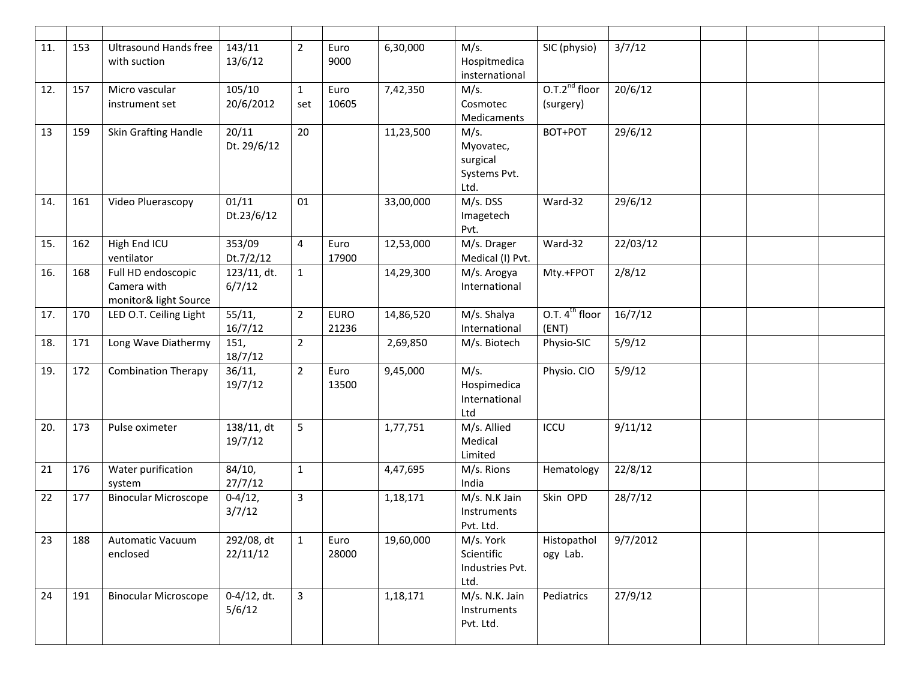| 11. | 153 | <b>Ultrasound Hands free</b><br>with suction               | 143/11<br>13/6/12        | $\overline{2}$      | Euro<br>9000         | 6,30,000  | M/s.<br>Hospitmedica<br>insternational                | SIC (physio)                 | 3/7/12   |  |  |
|-----|-----|------------------------------------------------------------|--------------------------|---------------------|----------------------|-----------|-------------------------------------------------------|------------------------------|----------|--|--|
| 12. | 157 | Micro vascular<br>instrument set                           | 105/10<br>20/6/2012      | $\mathbf{1}$<br>set | Euro<br>10605        | 7,42,350  | M/s.<br>Cosmotec<br>Medicaments                       | $0.7.2nd$ floor<br>(surgery) | 20/6/12  |  |  |
| 13  | 159 | Skin Grafting Handle                                       | 20/11<br>Dt. 29/6/12     | 20                  |                      | 11,23,500 | M/s.<br>Myovatec,<br>surgical<br>Systems Pvt.<br>Ltd. | BOT+POT                      | 29/6/12  |  |  |
| 14. | 161 | Video Pluerascopy                                          | 01/11<br>Dt.23/6/12      | 01                  |                      | 33,00,000 | M/s. DSS<br>Imagetech<br>Pvt.                         | Ward-32                      | 29/6/12  |  |  |
| 15. | 162 | High End ICU<br>ventilator                                 | 353/09<br>Dt.7/2/12      | 4                   | Euro<br>17900        | 12,53,000 | M/s. Drager<br>Medical (I) Pvt.                       | Ward-32                      | 22/03/12 |  |  |
| 16. | 168 | Full HD endoscopic<br>Camera with<br>monitor& light Source | 123/11, dt.<br>6/7/12    | $\mathbf{1}$        |                      | 14,29,300 | M/s. Arogya<br>International                          | Mty.+FPOT                    | 2/8/12   |  |  |
| 17. | 170 | LED O.T. Ceiling Light                                     | 55/11,<br>16/7/12        | $\overline{2}$      | <b>EURO</b><br>21236 | 14,86,520 | M/s. Shalya<br>International                          | O.T. $4^{th}$ floor<br>(ENT) | 16/7/12  |  |  |
| 18. | 171 | Long Wave Diathermy                                        | 151,<br>18/7/12          | $\overline{2}$      |                      | 2,69,850  | M/s. Biotech                                          | Physio-SIC                   | 5/9/12   |  |  |
| 19. | 172 | <b>Combination Therapy</b>                                 | 36/11,<br>19/7/12        | $\overline{2}$      | Euro<br>13500        | 9,45,000  | M/s.<br>Hospimedica<br>International<br>Ltd           | Physio. CIO                  | 5/9/12   |  |  |
| 20. | 173 | Pulse oximeter                                             | 138/11, dt<br>19/7/12    | 5                   |                      | 1,77,751  | M/s. Allied<br>Medical<br>Limited                     | ICCU                         | 9/11/12  |  |  |
| 21  | 176 | Water purification<br>system                               | 84/10,<br>27/7/12        | $\mathbf{1}$        |                      | 4,47,695  | M/s. Rions<br>India                                   | Hematology                   | 22/8/12  |  |  |
| 22  | 177 | <b>Binocular Microscope</b>                                | $0 - 4/12,$<br>3/7/12    | $\overline{3}$      |                      | 1,18,171  | M/s. N.K Jain<br>Instruments<br>Pvt. Ltd.             | Skin OPD                     | 28/7/12  |  |  |
| 23  | 188 | Automatic Vacuum<br>enclosed                               | 292/08, dt<br>22/11/12   | $\mathbf{1}$        | Euro<br>28000        | 19,60,000 | M/s. York<br>Scientific<br>Industries Pvt.<br>Ltd.    | Histopathol<br>ogy Lab.      | 9/7/2012 |  |  |
| 24  | 191 | <b>Binocular Microscope</b>                                | $0-4/12$ , dt.<br>5/6/12 | 3                   |                      | 1,18,171  | M/s. N.K. Jain<br>Instruments<br>Pvt. Ltd.            | Pediatrics                   | 27/9/12  |  |  |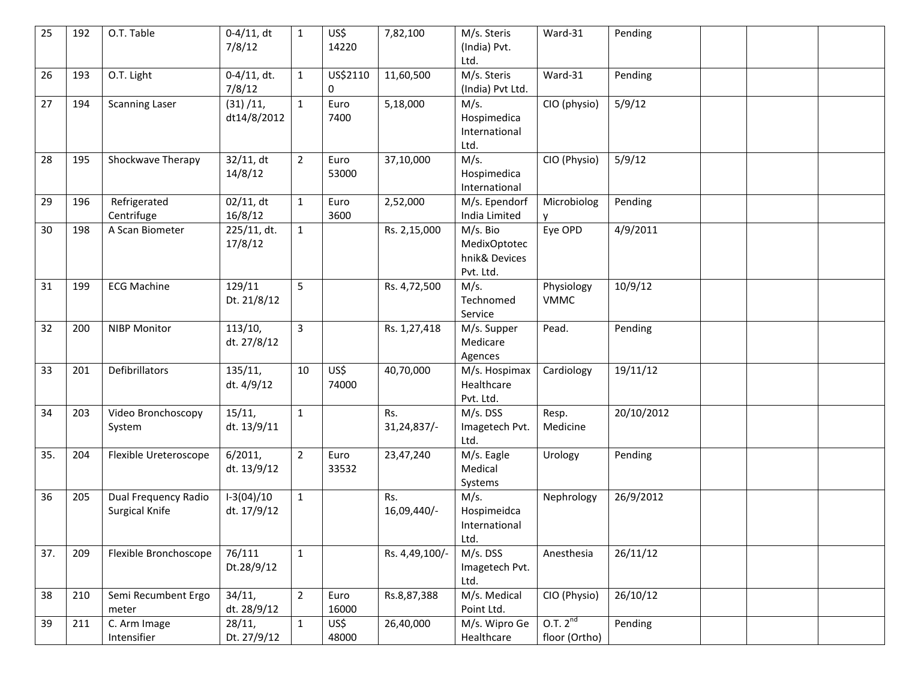| 25  | 192 | O.T. Table                             | $0-4/11$ , dt<br>7/8/12     | $\mathbf{1}$   | US\$<br>14220 | 7,82,100              | M/s. Steris<br>(India) Pvt.<br>Ltd.                    | Ward-31                              | Pending    |  |  |
|-----|-----|----------------------------------------|-----------------------------|----------------|---------------|-----------------------|--------------------------------------------------------|--------------------------------------|------------|--|--|
| 26  | 193 | O.T. Light                             | $0-4/11$ , dt.<br>7/8/12    | $\mathbf{1}$   | US\$2110<br>0 | 11,60,500             | M/s. Steris<br>(India) Pvt Ltd.                        | Ward-31                              | Pending    |  |  |
| 27  | 194 | <b>Scanning Laser</b>                  | (31)/11,<br>dt14/8/2012     | $\mathbf{1}$   | Euro<br>7400  | 5,18,000              | M/s.<br>Hospimedica<br>International<br>Ltd.           | CIO (physio)                         | 5/9/12     |  |  |
| 28  | 195 | Shockwave Therapy                      | 32/11, dt<br>14/8/12        | $\overline{2}$ | Euro<br>53000 | 37,10,000             | M/s.<br>Hospimedica<br>International                   | CIO (Physio)                         | 5/9/12     |  |  |
| 29  | 196 | Refrigerated<br>Centrifuge             | 02/11, dt<br>16/8/12        | $\mathbf{1}$   | Euro<br>3600  | 2,52,000              | M/s. Ependorf<br>India Limited                         | Microbiolog                          | Pending    |  |  |
| 30  | 198 | A Scan Biometer                        | 225/11, dt.<br>17/8/12      | $\mathbf{1}$   |               | Rs. 2,15,000          | M/s. Bio<br>MedixOptotec<br>hnik& Devices<br>Pvt. Ltd. | Eye OPD                              | 4/9/2011   |  |  |
| 31  | 199 | <b>ECG Machine</b>                     | 129/11<br>Dt. 21/8/12       | 5              |               | Rs. 4,72,500          | M/s.<br>Technomed<br>Service                           | Physiology<br><b>VMMC</b>            | 10/9/12    |  |  |
| 32  | 200 | <b>NIBP Monitor</b>                    | 113/10,<br>dt. 27/8/12      | 3              |               | Rs. 1,27,418          | M/s. Supper<br>Medicare<br>Agences                     | Pead.                                | Pending    |  |  |
| 33  | 201 | Defibrillators                         | 135/11,<br>dt. 4/9/12       | 10             | US\$<br>74000 | 40,70,000             | M/s. Hospimax<br>Healthcare<br>Pvt. Ltd.               | Cardiology                           | 19/11/12   |  |  |
| 34  | 203 | Video Bronchoscopy<br>System           | 15/11,<br>dt. 13/9/11       | $\mathbf{1}$   |               | Rs.<br>$31,24,837/$ - | M/s. DSS<br>Imagetech Pvt.<br>Ltd.                     | Resp.<br>Medicine                    | 20/10/2012 |  |  |
| 35. | 204 | Flexible Ureteroscope                  | 6/2011,<br>dt. 13/9/12      | $\overline{2}$ | Euro<br>33532 | 23,47,240             | M/s. Eagle<br>Medical<br>Systems                       | Urology                              | Pending    |  |  |
| 36  | 205 | Dual Frequency Radio<br>Surgical Knife | $1-3(04)/10$<br>dt. 17/9/12 | $\mathbf{1}$   |               | Rs.<br>16,09,440/-    | M/s.<br>Hospimeidca<br>International<br>Ltd.           | Nephrology                           | 26/9/2012  |  |  |
| 37. | 209 | Flexible Bronchoscope                  | 76/111<br>Dt.28/9/12        | $1\,$          |               | Rs. 4,49,100/-        | M/s. DSS<br>Imagetech Pvt.<br>Ltd.                     | Anesthesia                           | 26/11/12   |  |  |
| 38  | 210 | Semi Recumbent Ergo<br>meter           | 34/11,<br>dt. 28/9/12       | $\overline{2}$ | Euro<br>16000 | Rs.8,87,388           | M/s. Medical<br>Point Ltd.                             | CIO (Physio)                         | 26/10/12   |  |  |
| 39  | 211 | C. Arm Image<br>Intensifier            | 28/11,<br>Dt. 27/9/12       | $\mathbf 1$    | US\$<br>48000 | 26,40,000             | M/s. Wipro Ge<br>Healthcare                            | 0.7.2 <sup>nd</sup><br>floor (Ortho) | Pending    |  |  |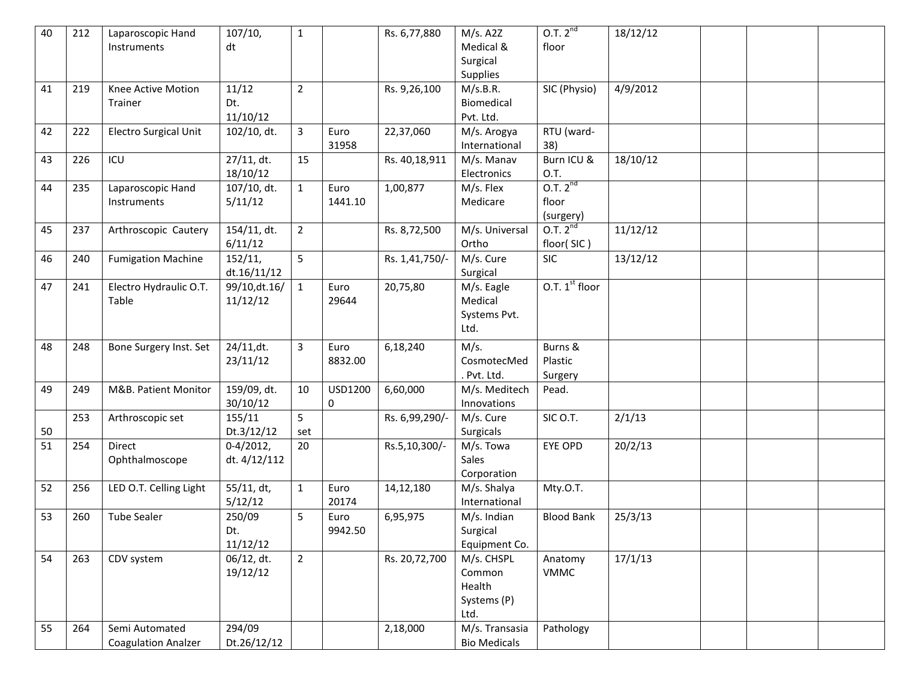| 40 | 212 | Laparoscopic Hand<br>Instruments             | 107/10,<br>dt               | $\mathbf{1}$   |                 | Rs. 6,77,880   | M/s. A2Z<br>Medical &<br>Surgical<br>Supplies         | 0.7.2 <sup>nd</sup><br>floor              | 18/12/12 |  |  |
|----|-----|----------------------------------------------|-----------------------------|----------------|-----------------|----------------|-------------------------------------------------------|-------------------------------------------|----------|--|--|
| 41 | 219 | Knee Active Motion<br>Trainer                | 11/12<br>Dt.<br>11/10/12    | $\overline{2}$ |                 | Rs. 9,26,100   | M/s.B.R.<br>Biomedical<br>Pvt. Ltd.                   | SIC (Physio)                              | 4/9/2012 |  |  |
| 42 | 222 | Electro Surgical Unit                        | 102/10, dt.                 | 3              | Euro<br>31958   | 22,37,060      | M/s. Arogya<br>International                          | RTU (ward-<br>38)                         |          |  |  |
| 43 | 226 | ICU                                          | 27/11, dt.<br>18/10/12      | 15             |                 | Rs. 40,18,911  | M/s. Manav<br>Electronics                             | Burn ICU &<br>O.T.                        | 18/10/12 |  |  |
| 44 | 235 | Laparoscopic Hand<br>Instruments             | 107/10, dt.<br>5/11/12      | $\mathbf{1}$   | Euro<br>1441.10 | 1,00,877       | M/s. Flex<br>Medicare                                 | 0.7.2 <sup>nd</sup><br>floor<br>(surgery) |          |  |  |
| 45 | 237 | Arthroscopic Cautery                         | 154/11, dt.<br>6/11/12      | $\overline{2}$ |                 | Rs. 8,72,500   | M/s. Universal<br>Ortho                               | 0.7.2 <sup>nd</sup><br>floor(SIC)         | 11/12/12 |  |  |
| 46 | 240 | <b>Fumigation Machine</b>                    | 152/11,<br>dt.16/11/12      | 5              |                 | Rs. 1,41,750/- | M/s. Cure<br>Surgical                                 | <b>SIC</b>                                | 13/12/12 |  |  |
| 47 | 241 | Electro Hydraulic O.T.<br>Table              | 99/10, dt. 16/<br>11/12/12  | $\mathbf{1}$   | Euro<br>29644   | 20,75,80       | M/s. Eagle<br>Medical<br>Systems Pvt.<br>Ltd.         | O.T. $1st$ floor                          |          |  |  |
| 48 | 248 | Bone Surgery Inst. Set                       | 24/11, dt.<br>23/11/12      | 3              | Euro<br>8832.00 | 6,18,240       | M/s.<br>CosmotecMed<br>Pvt. Ltd.                      | Burns &<br>Plastic<br>Surgery             |          |  |  |
| 49 | 249 | M&B. Patient Monitor                         | 159/09, dt.<br>30/10/12     | 10             | USD1200<br>0    | 6,60,000       | M/s. Meditech<br>Innovations                          | Pead.                                     |          |  |  |
| 50 | 253 | Arthroscopic set                             | 155/11<br>Dt.3/12/12        | 5<br>set       |                 | Rs. 6,99,290/- | M/s. Cure<br>Surgicals                                | SIC O.T.                                  | 2/1/13   |  |  |
| 51 | 254 | Direct<br>Ophthalmoscope                     | $0-4/2012,$<br>dt. 4/12/112 | 20             |                 | Rs.5,10,300/-  | M/s. Towa<br>Sales<br>Corporation                     | EYE OPD                                   | 20/2/13  |  |  |
| 52 | 256 | LED O.T. Celling Light                       | 55/11, dt,<br>5/12/12       | $\mathbf{1}$   | Euro<br>20174   | 14, 12, 180    | M/s. Shalya<br>International                          | Mty.O.T.                                  |          |  |  |
| 53 | 260 | <b>Tube Sealer</b>                           | 250/09<br>Dt.<br>11/12/12   | 5              | Euro<br>9942.50 | 6,95,975       | M/s. Indian<br>Surgical<br>Equipment Co.              | <b>Blood Bank</b>                         | 25/3/13  |  |  |
| 54 | 263 | CDV system                                   | 06/12, dt.<br>19/12/12      | $\overline{2}$ |                 | Rs. 20,72,700  | M/s. CHSPL<br>Common<br>Health<br>Systems (P)<br>Ltd. | Anatomy<br><b>VMMC</b>                    | 17/1/13  |  |  |
| 55 | 264 | Semi Automated<br><b>Coagulation Analzer</b> | 294/09<br>Dt.26/12/12       |                |                 | 2,18,000       | M/s. Transasia<br><b>Bio Medicals</b>                 | Pathology                                 |          |  |  |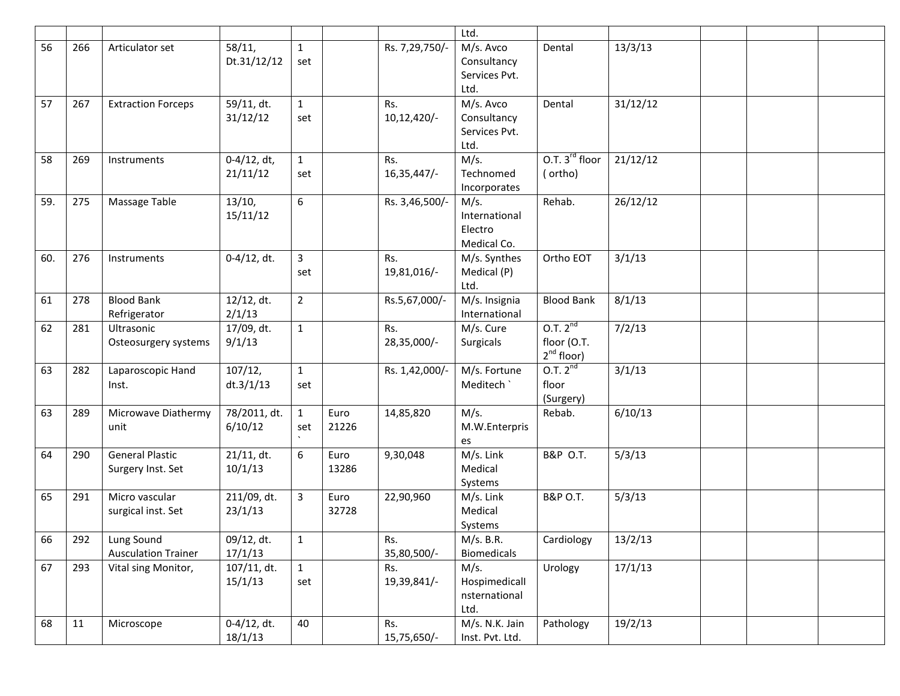|     |             |                                             |                            |                     |               |                    | Ltd.                                              |                                                       |          |  |  |
|-----|-------------|---------------------------------------------|----------------------------|---------------------|---------------|--------------------|---------------------------------------------------|-------------------------------------------------------|----------|--|--|
| 56  | 266         | Articulator set                             | 58/11,<br>Dt.31/12/12      | $\mathbf{1}$<br>set |               | Rs. 7,29,750/-     | M/s. Avco<br>Consultancy<br>Services Pvt.<br>Ltd. | Dental                                                | 13/3/13  |  |  |
| 57  | 267         | <b>Extraction Forceps</b>                   | 59/11, dt.<br>31/12/12     | $\mathbf{1}$<br>set |               | Rs.<br>10,12,420/- | M/s. Avco<br>Consultancy<br>Services Pvt.<br>Ltd. | Dental                                                | 31/12/12 |  |  |
| 58  | 269         | Instruments                                 | $0-4/12$ , dt,<br>21/11/12 | $\mathbf{1}$<br>set |               | Rs.<br>16,35,447/- | M/s.<br>Technomed<br>Incorporates                 | O.T. $3^{rd}$ floor<br>(ortho)                        | 21/12/12 |  |  |
| 59. | 275         | Massage Table                               | 13/10,<br>15/11/12         | 6                   |               | Rs. 3,46,500/-     | M/s.<br>International<br>Electro<br>Medical Co.   | Rehab.                                                | 26/12/12 |  |  |
| 60. | 276         | Instruments                                 | $0-4/12$ , dt.             | 3<br>set            |               | Rs.<br>19,81,016/- | M/s. Synthes<br>Medical (P)<br>Ltd.               | Ortho EOT                                             | 3/1/13   |  |  |
| 61  | 278         | <b>Blood Bank</b><br>Refrigerator           | 12/12, dt.<br>2/1/13       | $\overline{2}$      |               | Rs.5,67,000/-      | M/s. Insignia<br>International                    | <b>Blood Bank</b>                                     | 8/1/13   |  |  |
| 62  | 281         | Ultrasonic<br>Osteosurgery systems          | 17/09, dt.<br>9/1/13       | $\mathbf{1}$        |               | Rs.<br>28,35,000/- | M/s. Cure<br>Surgicals                            | 0.7.2 <sup>nd</sup><br>floor (O.T.<br>$2^{nd}$ floor) | 7/2/13   |  |  |
| 63  | 282         | Laparoscopic Hand<br>Inst.                  | 107/12,<br>dt.3/1/13       | $\mathbf{1}$<br>set |               | Rs. 1,42,000/-     | M/s. Fortune<br>Meditech `                        | 0.7.2 <sup>nd</sup><br>floor<br>(Surgery)             | 3/1/13   |  |  |
| 63  | 289         | Microwave Diathermy<br>unit                 | 78/2011, dt.<br>6/10/12    | $\mathbf{1}$<br>set | Euro<br>21226 | 14,85,820          | M/s.<br>M.W.Enterpris<br>es                       | Rebab.                                                | 6/10/13  |  |  |
| 64  | 290         | <b>General Plastic</b><br>Surgery Inst. Set | $21/11$ , dt.<br>10/1/13   | 6                   | Euro<br>13286 | 9,30,048           | M/s. Link<br>Medical<br>Systems                   | B&P O.T.                                              | 5/3/13   |  |  |
| 65  | 291         | Micro vascular<br>surgical inst. Set        | 211/09, dt.<br>23/1/13     | $\overline{3}$      | Euro<br>32728 | 22,90,960          | M/s. Link<br>Medical<br>Systems                   | <b>B&amp;P O.T.</b>                                   | 5/3/13   |  |  |
| 66  | $\vert$ 292 | Lung Sound<br><b>Ausculation Trainer</b>    | 09/12, dt.<br>17/1/13      | $\mathbf 1$         |               | Rs.<br>35,80,500/- | M/s. B.R.<br><b>Biomedicals</b>                   | Cardiology                                            | 13/2/13  |  |  |
| 67  | 293         | Vital sing Monitor,                         | $107/11$ , dt.<br>15/1/13  | $\mathbf{1}$<br>set |               | Rs.<br>19,39,841/- | M/s.<br>Hospimedicall<br>nsternational<br>Ltd.    | Urology                                               | 17/1/13  |  |  |
| 68  | 11          | Microscope                                  | $0-4/12$ , dt.<br>18/1/13  | 40                  |               | Rs.<br>15,75,650/- | M/s. N.K. Jain<br>Inst. Pvt. Ltd.                 | Pathology                                             | 19/2/13  |  |  |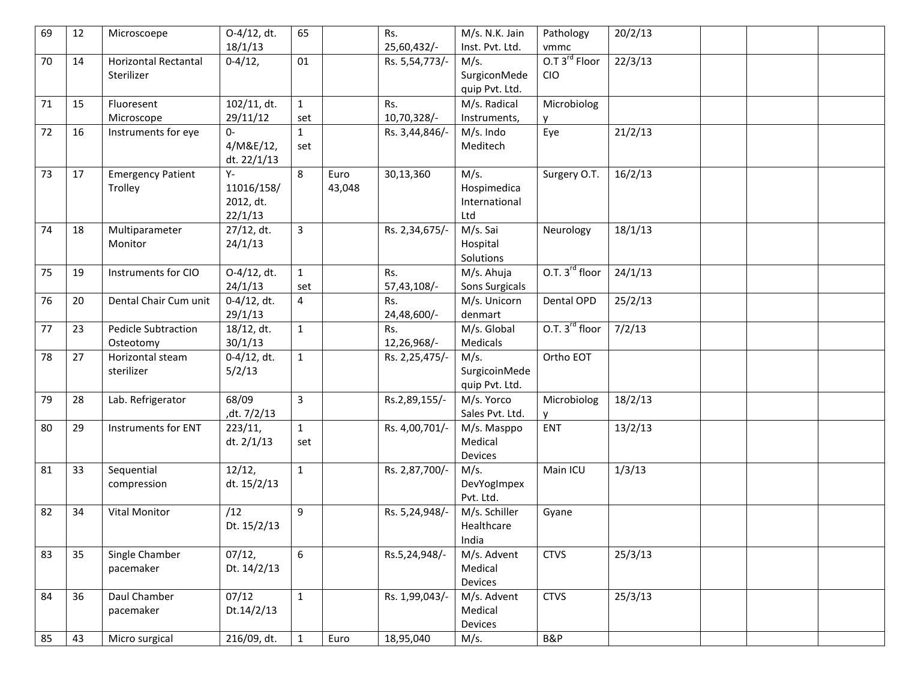| 69 | 12 | Microscoepe                               | O-4/12, dt.<br>18/1/13                   | 65                  |                | Rs.<br>25,60,432/- | M/s. N.K. Jain<br>Inst. Pvt. Ltd.           | Pathology<br>vmmc                       | 20/2/13 |  |  |
|----|----|-------------------------------------------|------------------------------------------|---------------------|----------------|--------------------|---------------------------------------------|-----------------------------------------|---------|--|--|
| 70 | 14 | <b>Horizontal Rectantal</b><br>Sterilizer | $0-4/12,$                                | 01                  |                | Rs. 5,54,773/-     | M/s.<br>SurgiconMede<br>quip Pvt. Ltd.      | O.T 3 <sup>rd</sup> Floor<br><b>CIO</b> | 22/3/13 |  |  |
| 71 | 15 | Fluoresent<br>Microscope                  | 102/11, dt.<br>29/11/12                  | $\mathbf{1}$<br>set |                | Rs.<br>10,70,328/- | M/s. Radical<br>Instruments,                | Microbiolog                             |         |  |  |
| 72 | 16 | Instruments for eye                       | $0-$<br>4/M&E/12,<br>dt. 22/1/13         | $\mathbf{1}$<br>set |                | Rs. 3,44,846/-     | M/s. Indo<br>Meditech                       | Eye                                     | 21/2/13 |  |  |
| 73 | 17 | <b>Emergency Patient</b><br>Trolley       | Υ-<br>11016/158/<br>2012, dt.<br>22/1/13 | 8                   | Euro<br>43,048 | 30,13,360          | M/s.<br>Hospimedica<br>International<br>Ltd | Surgery O.T.                            | 16/2/13 |  |  |
| 74 | 18 | Multiparameter<br>Monitor                 | 27/12, dt.<br>24/1/13                    | 3                   |                | Rs. 2,34,675/-     | M/s. Sai<br>Hospital<br>Solutions           | Neurology                               | 18/1/13 |  |  |
| 75 | 19 | Instruments for CIO                       | O-4/12, dt.<br>24/1/13                   | $\mathbf{1}$<br>set |                | Rs.<br>57,43,108/- | M/s. Ahuja<br>Sons Surgicals                | O.T. 3 <sup>rd</sup> floor              | 24/1/13 |  |  |
| 76 | 20 | Dental Chair Cum unit                     | $0-4/12$ , dt.<br>29/1/13                | 4                   |                | Rs.<br>24,48,600/- | M/s. Unicorn<br>denmart                     | Dental OPD                              | 25/2/13 |  |  |
| 77 | 23 | <b>Pedicle Subtraction</b><br>Osteotomy   | 18/12, dt.<br>30/1/13                    | $\mathbf{1}$        |                | Rs.<br>12,26,968/- | M/s. Global<br>Medicals                     | O.T. 3 <sup>rd</sup> floor              | 7/2/13  |  |  |
| 78 | 27 | Horizontal steam<br>sterilizer            | $0-4/12$ , dt.<br>5/2/13                 | $\mathbf{1}$        |                | Rs. 2,25,475/-     | M/s.<br>SurgicoinMede<br>quip Pvt. Ltd.     | Ortho EOT                               |         |  |  |
| 79 | 28 | Lab. Refrigerator                         | 68/09<br>,dt. 7/2/13                     | 3                   |                | Rs.2,89,155/-      | M/s. Yorco<br>Sales Pvt. Ltd.               | Microbiolog                             | 18/2/13 |  |  |
| 80 | 29 | Instruments for ENT                       | 223/11,<br>dt. 2/1/13                    | $\mathbf{1}$<br>set |                | Rs. 4,00,701/-     | M/s. Masppo<br>Medical<br>Devices           | <b>ENT</b>                              | 13/2/13 |  |  |
| 81 | 33 | Sequential<br>compression                 | 12/12,<br>dt. 15/2/13                    | $\mathbf{1}$        |                | Rs. 2,87,700/-     | M/s.<br>DevYogImpex<br>Pvt. Ltd.            | Main ICU                                | 1/3/13  |  |  |
| 82 | 34 | <b>Vital Monitor</b>                      | /12<br>Dt. 15/2/13                       | 9                   |                | Rs. 5,24,948/      | M/s. Schiller<br>Healthcare<br>India        | Gyane                                   |         |  |  |
| 83 | 35 | Single Chamber<br>pacemaker               | 07/12,<br>Dt. 14/2/13                    | 6                   |                | Rs.5,24,948/-      | M/s. Advent<br>Medical<br>Devices           | <b>CTVS</b>                             | 25/3/13 |  |  |
| 84 | 36 | Daul Chamber<br>pacemaker                 | 07/12<br>Dt.14/2/13                      | $\mathbf{1}$        |                | Rs. 1,99,043/-     | M/s. Advent<br>Medical<br>Devices           | <b>CTVS</b>                             | 25/3/13 |  |  |
| 85 | 43 | Micro surgical                            | $\overline{216/09}$ , dt.                | $\mathbf{1}$        | Euro           | 18,95,040          | M/s.                                        | B&P                                     |         |  |  |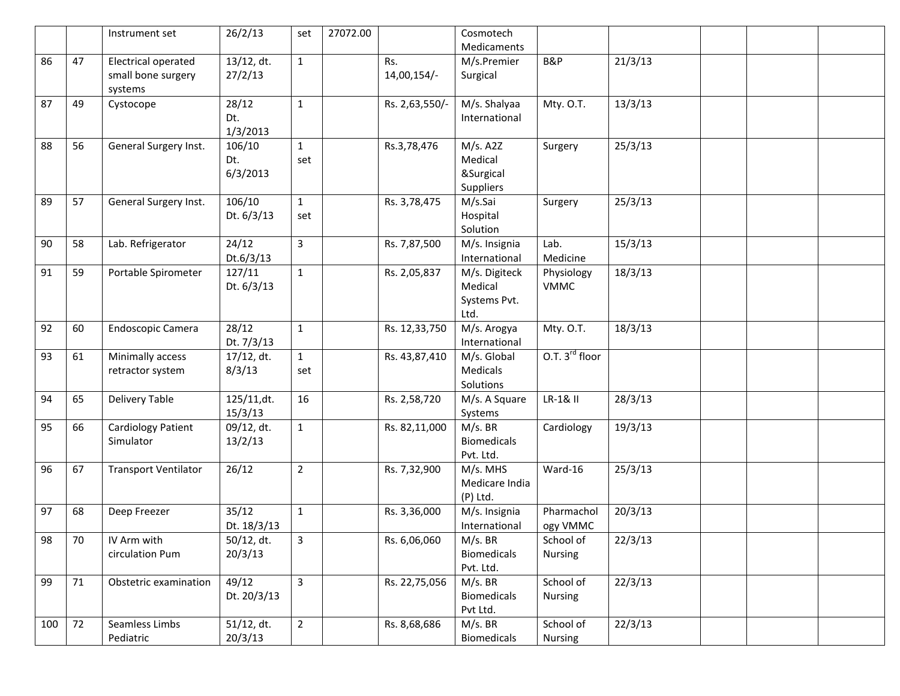|     |    | Instrument set                                       | 26/2/13                   | set                 | 27072.00 |                    | Cosmotech                                        |                             |         |  |  |
|-----|----|------------------------------------------------------|---------------------------|---------------------|----------|--------------------|--------------------------------------------------|-----------------------------|---------|--|--|
|     |    |                                                      |                           |                     |          |                    | Medicaments                                      |                             |         |  |  |
| 86  | 47 | Electrical operated<br>small bone surgery<br>systems | 13/12, dt.<br>27/2/13     | $\mathbf{1}$        |          | Rs.<br>14,00,154/- | M/s.Premier<br>Surgical                          | B&P                         | 21/3/13 |  |  |
| 87  | 49 | Cystocope                                            | 28/12<br>Dt.<br>1/3/2013  | $\mathbf{1}$        |          | Rs. 2,63,550/-     | M/s. Shalyaa<br>International                    | Mty. O.T.                   | 13/3/13 |  |  |
| 88  | 56 | General Surgery Inst.                                | 106/10<br>Dt.<br>6/3/2013 | $\mathbf{1}$<br>set |          | Rs.3,78,476        | M/s. A2Z<br>Medical<br>&Surgical<br>Suppliers    | Surgery                     | 25/3/13 |  |  |
| 89  | 57 | General Surgery Inst.                                | 106/10<br>Dt. 6/3/13      | $\mathbf{1}$<br>set |          | Rs. 3,78,475       | M/s.Sai<br>Hospital<br>Solution                  | Surgery                     | 25/3/13 |  |  |
| 90  | 58 | Lab. Refrigerator                                    | 24/12<br>Dt.6/3/13        | 3                   |          | Rs. 7,87,500       | M/s. Insignia<br>International                   | Lab.<br>Medicine            | 15/3/13 |  |  |
| 91  | 59 | Portable Spirometer                                  | 127/11<br>Dt. 6/3/13      | $\mathbf{1}$        |          | Rs. 2,05,837       | M/s. Digiteck<br>Medical<br>Systems Pvt.<br>Ltd. | Physiology<br><b>VMMC</b>   | 18/3/13 |  |  |
| 92  | 60 | Endoscopic Camera                                    | 28/12<br>Dt. 7/3/13       | $\mathbf{1}$        |          | Rs. 12,33,750      | M/s. Arogya<br>International                     | Mty. O.T.                   | 18/3/13 |  |  |
| 93  | 61 | Minimally access<br>retractor system                 | 17/12, dt.<br>8/3/13      | $\mathbf{1}$<br>set |          | Rs. 43,87,410      | M/s. Global<br>Medicals<br>Solutions             | O.T. 3 <sup>rd</sup> floor  |         |  |  |
| 94  | 65 | <b>Delivery Table</b>                                | 125/11,dt.<br>15/3/13     | 16                  |          | Rs. 2,58,720       | M/s. A Square<br>Systems                         | LR-1& II                    | 28/3/13 |  |  |
| 95  | 66 | <b>Cardiology Patient</b><br>Simulator               | 09/12, dt.<br>13/2/13     | $\mathbf{1}$        |          | Rs. 82,11,000      | $M/s.$ BR<br>Biomedicals<br>Pvt. Ltd.            | Cardiology                  | 19/3/13 |  |  |
| 96  | 67 | <b>Transport Ventilator</b>                          | 26/12                     | $\overline{2}$      |          | Rs. 7,32,900       | M/s. MHS<br>Medicare India<br>(P) Ltd.           | Ward-16                     | 25/3/13 |  |  |
| 97  | 68 | Deep Freezer                                         | 35/12<br>Dt. 18/3/13      | $\mathbf{1}$        |          | Rs. 3,36,000       | M/s. Insignia<br>International                   | Pharmachol<br>ogy VMMC      | 20/3/13 |  |  |
| 98  | 70 | IV Arm with<br>circulation Pum                       | 50/12, dt.<br>20/3/13     | 3                   |          | Rs. 6,06,060       | $M/s.$ BR<br><b>Biomedicals</b><br>Pvt. Ltd.     | School of<br><b>Nursing</b> | 22/3/13 |  |  |
| 99  | 71 | Obstetric examination                                | 49/12<br>Dt. 20/3/13      | 3                   |          | Rs. 22,75,056      | $M/s.$ BR<br><b>Biomedicals</b><br>Pvt Ltd.      | School of<br><b>Nursing</b> | 22/3/13 |  |  |
| 100 | 72 | Seamless Limbs<br>Pediatric                          | 51/12, dt.<br>20/3/13     | $\overline{2}$      |          | Rs. 8,68,686       | $M/s.$ BR<br>Biomedicals                         | School of<br>Nursing        | 22/3/13 |  |  |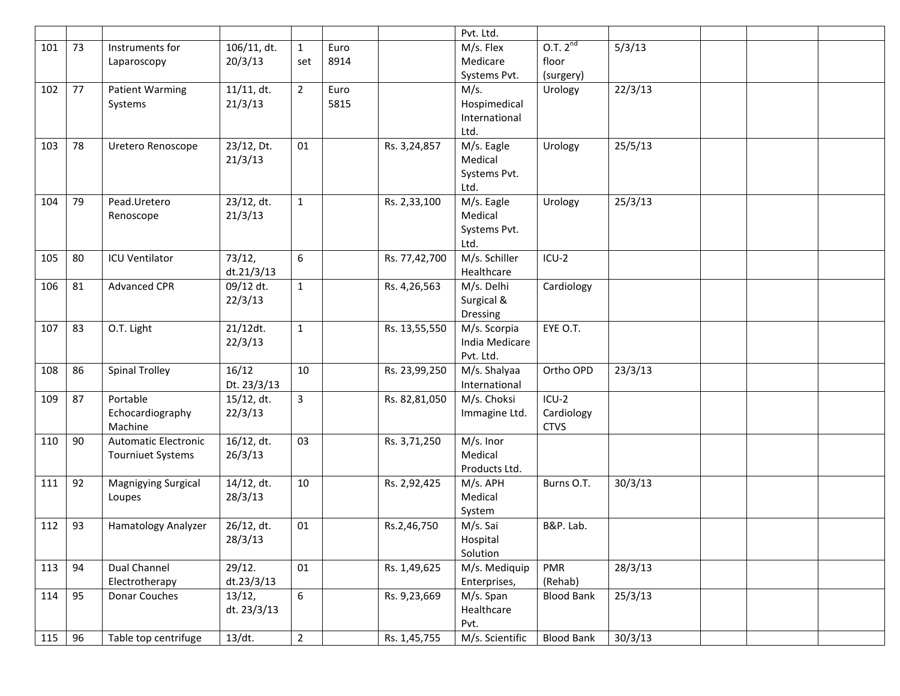|     |    |                             |               |                |      |               | Pvt. Ltd.       |                   |         |  |  |
|-----|----|-----------------------------|---------------|----------------|------|---------------|-----------------|-------------------|---------|--|--|
| 101 | 73 | Instruments for             | 106/11, dt.   | $\mathbf{1}$   | Euro |               | M/s. Flex       | $0.7.2^{nd}$      | 5/3/13  |  |  |
|     |    | Laparoscopy                 | 20/3/13       | set            | 8914 |               | Medicare        | floor             |         |  |  |
|     |    |                             |               |                |      |               | Systems Pvt.    | (surgery)         |         |  |  |
| 102 | 77 | <b>Patient Warming</b>      | $11/11$ , dt. | $\overline{2}$ | Euro |               | M/s.            | Urology           | 22/3/13 |  |  |
|     |    | Systems                     | 21/3/13       |                | 5815 |               | Hospimedical    |                   |         |  |  |
|     |    |                             |               |                |      |               | International   |                   |         |  |  |
|     |    |                             |               |                |      |               | Ltd.            |                   |         |  |  |
| 103 | 78 | Uretero Renoscope           | 23/12, Dt.    | 01             |      | Rs. 3,24,857  | M/s. Eagle      | Urology           | 25/5/13 |  |  |
|     |    |                             | 21/3/13       |                |      |               | Medical         |                   |         |  |  |
|     |    |                             |               |                |      |               | Systems Pvt.    |                   |         |  |  |
|     |    |                             |               |                |      |               | Ltd.            |                   |         |  |  |
| 104 | 79 | Pead.Uretero                | 23/12, dt.    | $\mathbf{1}$   |      | Rs. 2,33,100  | M/s. Eagle      | Urology           | 25/3/13 |  |  |
|     |    |                             |               |                |      |               | Medical         |                   |         |  |  |
|     |    | Renoscope                   | 21/3/13       |                |      |               |                 |                   |         |  |  |
|     |    |                             |               |                |      |               | Systems Pvt.    |                   |         |  |  |
|     |    |                             |               |                |      |               | Ltd.            |                   |         |  |  |
| 105 | 80 | <b>ICU Ventilator</b>       | 73/12,        | 6              |      | Rs. 77,42,700 | M/s. Schiller   | $ICU-2$           |         |  |  |
|     |    |                             | dt.21/3/13    |                |      |               | Healthcare      |                   |         |  |  |
| 106 | 81 | <b>Advanced CPR</b>         | 09/12 dt.     | $\mathbf{1}$   |      | Rs. 4,26,563  | M/s. Delhi      | Cardiology        |         |  |  |
|     |    |                             | 22/3/13       |                |      |               | Surgical &      |                   |         |  |  |
|     |    |                             |               |                |      |               | Dressing        |                   |         |  |  |
| 107 | 83 | O.T. Light                  | 21/12dt.      | $\mathbf{1}$   |      | Rs. 13,55,550 | M/s. Scorpia    | EYE O.T.          |         |  |  |
|     |    |                             | 22/3/13       |                |      |               | India Medicare  |                   |         |  |  |
|     |    |                             |               |                |      |               | Pvt. Ltd.       |                   |         |  |  |
| 108 | 86 | <b>Spinal Trolley</b>       | 16/12         | 10             |      | Rs. 23,99,250 | M/s. Shalyaa    | Ortho OPD         | 23/3/13 |  |  |
|     |    |                             | Dt. 23/3/13   |                |      |               | International   |                   |         |  |  |
| 109 | 87 | Portable                    | 15/12, dt.    | $\overline{3}$ |      | Rs. 82,81,050 | M/s. Choksi     | $ICU-2$           |         |  |  |
|     |    | Echocardiography            | 22/3/13       |                |      |               | Immagine Ltd.   | Cardiology        |         |  |  |
|     |    | Machine                     |               |                |      |               |                 | <b>CTVS</b>       |         |  |  |
| 110 | 90 | <b>Automatic Electronic</b> | 16/12, dt.    | 03             |      | Rs. 3,71,250  | M/s. Inor       |                   |         |  |  |
|     |    | <b>Tourniuet Systems</b>    | 26/3/13       |                |      |               | Medical         |                   |         |  |  |
|     |    |                             |               |                |      |               | Products Ltd.   |                   |         |  |  |
| 111 | 92 | <b>Magnigying Surgical</b>  | 14/12, dt.    | 10             |      | Rs. 2,92,425  | M/s. APH        | Burns O.T.        | 30/3/13 |  |  |
|     |    | Loupes                      | 28/3/13       |                |      |               | Medical         |                   |         |  |  |
|     |    |                             |               |                |      |               | System          |                   |         |  |  |
| 112 | 93 | Hamatology Analyzer         | 26/12, dt.    | 01             |      | Rs.2,46,750   | M/s. Sai        | B&P. Lab.         |         |  |  |
|     |    |                             | 28/3/13       |                |      |               | Hospital        |                   |         |  |  |
|     |    |                             |               |                |      |               | Solution        |                   |         |  |  |
| 113 | 94 | Dual Channel                | 29/12.        | 01             |      | Rs. 1,49,625  | M/s. Mediquip   | PMR               | 28/3/13 |  |  |
|     |    | Electrotherapy              | dt.23/3/13    |                |      |               | Enterprises,    | (Rehab)           |         |  |  |
| 114 | 95 | Donar Couches               | 13/12,        | 6              |      | Rs. 9,23,669  | M/s. Span       | <b>Blood Bank</b> | 25/3/13 |  |  |
|     |    |                             | dt. 23/3/13   |                |      |               | Healthcare      |                   |         |  |  |
|     |    |                             |               |                |      |               | Pvt.            |                   |         |  |  |
| 115 | 96 | Table top centrifuge        | $13/dt$ .     | $\overline{2}$ |      | Rs. 1,45,755  | M/s. Scientific | <b>Blood Bank</b> | 30/3/13 |  |  |
|     |    |                             |               |                |      |               |                 |                   |         |  |  |